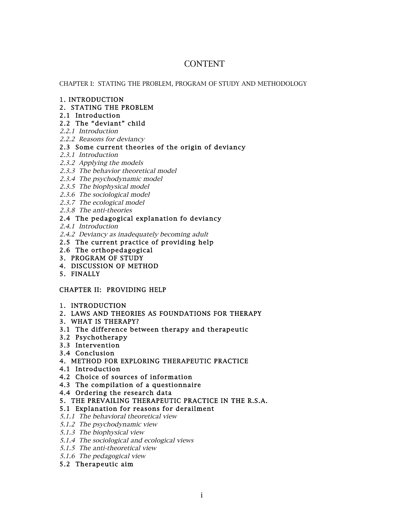# CONTENT

### CHAPTER I: STATING THE PROBLEM, PROGRAM OF STUDY AND METHODOLOGY

#### 1. INTRODUCTION

- 2. STATING THE PROBLEM
- 2.1 Introduction

# 2.2 The "deviant" child

- 2.2.1 Introduction
- 2.2.2 Reasons for deviancy

# 2.3 Some current theories of the origin of deviancy

- 2.3.1 Introduction
- 2.3.2 Applying the models
- 2.3.3 The behavior theoretical model
- 2.3.4 The psychodynamic model
- 2.3.5 The biophysical model
- 2.3.6 The sociological model
- 2.3.7 The ecological model
- 2.3.8 The anti-theories

# 2.4 The pedagogical explanation fo deviancy

2.4.1 Introduction

- 2.4.2 Deviancy as inadequately becoming adult
- 2.5 The current practice of providing help
- 2.6 The orthopedagogical
- 3. PROGRAM OF STUDY
- 4. DISCUSSION OF METHOD
- 5. FINALLY

## CHAPTER II: PROVIDING HELP

- 1. INTRODUCTION
- 2. LAWS AND THEORIES AS FOUNDATIONS FOR THERAPY
- 3. WHAT IS THERAPY?
- 3.1 The difference between therapy and therapeutic
- 3.2 Psychotherapy
- 3.3 Intervention
- 3.4 Conclusion
- 4. METHOD FOR EXPLORING THERAPEUTIC PRACTICE
- 4.1 Introduction
- 4.2 Choice of sources of information
- 4.3 The compilation of a questionnaire
- 4.4 Ordering the research data
- 5. THE PREVAILING THERAPEUTIC PRACTICE IN THE R.S.A.

# 5.1 Explanation for reasons for derailment

- 5.1.1 The behavioral theoretical view
- 5.1.2 The psychodynamic view
- 5.1.3 The biophysical view
- 5.1.4 The sociological and ecological views
- 5.1.5 The anti-theoretical view
- 5.1.6 The pedagogical view
- 5.2 Therapeutic aim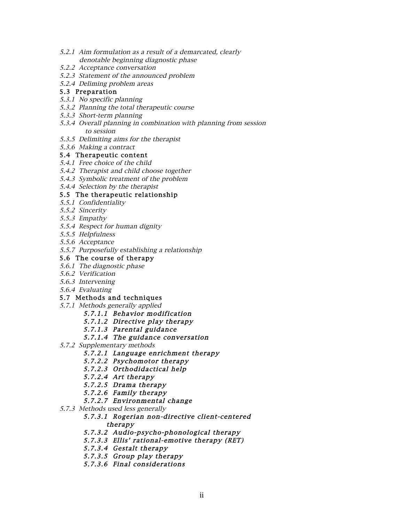- 5.2.1 Aim formulation as a result of a demarcated, clearly denotable beginning diagnostic phase
- 5.2.2 Acceptance conversation
- 5.2.3 Statement of the announced problem
- 5.2.4 Deliming problem areas

## 5.3 Preparation

- 5.3.1 No specific planning
- 5.3.2 Planning the total therapeutic course
- 5.3.3 Short-term planning
- 5.3.4 Overall planning in combination with planning from session to session
- 5.3.5 Delimiting aims for the therapist
- 5.3.6 Making a contract

#### 5.4 Therapeutic content

- 5.4.1 Free choice of the child
- 5.4.2 Therapist and child choose together
- 5.4.3 Symbolic treatment of the problem
- 5.4.4 Selection by the therapist

# 5.5 The therapeutic relationship

- 5.5.1 Confidentiality
- 5.5.2 Sincerity
- 5.5.3 Empathy
- 5.5.4 Respect for human dignity
- 5.5.5 Helpfulness
- 5.5.6 Acceptance
- 5.5.7 Purposefully establishing a relationship
- 5.6 The course of therapy
- 5.6.1 The diagnostic phase
- 5.6.2 Verification
- 5.6.3 Intervening
- 5.6.4 Evaluating

## 5.7 Methods and techniques

- 5.7.1 Methods generally applied
	- 5.7.1.1 Behavior modification
	- 5.7.1.2 Directive play therapy
	- 5.7.1.3 Parental guidance
	- 5.7.1.4 The guidance conversation
- 5.7.2 Supplementary methods
	- 5.7.2.1 Language enrichment therapy
	- 5.7.2.2 Psychomotor therapy
	- 5.7.2.3 Orthodidactical help
	- 5.7.2.4 Art therapy
	- 5.7.2.5 Drama therapy
	- 5.7.2.6 Family therapy
	- 5.7.2.7 Environmental change
- 5.7.3 Methods used less generally

## 5.7.3.1 Rogerian non-directive client-centered therapy

- 5.7.3.2 Audio-psycho-phonological therapy
- 5.7.3.3 Ellis' rational-emotive therapy (RET)
- 5.7.3.4 Gestalt therapy
- 5.7.3.5 Group play therapy
- 5.7.3.6 Final considerations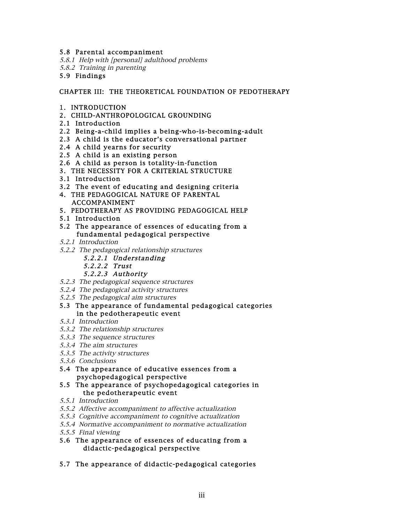### 5.8 Parental accompaniment

5.8.1 Help with [personal] adulthood problems 5.8.2 Training in parenting

# 5.9 Findings

## CHAPTER III: THE THEORETICAL FOUNDATION OF PEDOTHERAPY

- 1. INTRODUCTION
- 2. CHILD-ANTHROPOLOGICAL GROUNDING
- 2.1 Introduction
- 2.2 Being-a-child implies a being-who-is-becoming-adult
- 2.3 A child is the educator's conversational partner
- 2.4 A child yearns for security
- 2.5 A child is an existing person
- 2.6 A child as person is totality-in-function
- 3. THE NECESSITY FOR A CRITERIAL STRUCTURE
- 3.1 Introduction
- 3.2 The event of educating and designing criteria
- 4. THE PEDAGOGICAL NATURE OF PARENTAL ACCOMPANIMENT
- 5. PEDOTHERAPY AS PROVIDING PEDAGOGICAL HELP
- 5.1 Introduction
- 5.2 The appearance of essences of educating from a fundamental pedagogical perspective
- 5.2.1 Introduction
- 5.2.2 The pedagogical relationship structures
	- 5.2.2.1 Understanding
	- 5.2.2.2 Trust
	- 5.2.2.3 Authority
- 5.2.3 The pedagogical sequence structures
- 5.2.4 The pedagogical activity structures
- 5.2.5 The pedagogical aim structures
- 5.3 The appearance of fundamental pedagogical categories in the pedotherapeutic event
- 5.3.1 Introduction
- 5.3.2 The relationship structures
- 5.3.3 The sequence structures
- 5.3.4 The aim structures
- 5.3.5 The activity structures
- 5.3.6 Conclusions
- 5.4 The appearance of educative essences from a psychopedagogical perspective
- 5.5 The appearance of psychopedagogical categories in the pedotherapeutic event
- 5.5.1 Introduction
- 5.5.2 Affective accompaniment to affective actualization
- 5.5.3 Cognitive accompaniment to cognitive actualization
- 5.5.4 Normative accompaniment to normative actualization
- 5.5.5 Final viewing
- 5.6 The appearance of essences of educating from a didactic-pedagogical perspective
- 5.7 The appearance of didactic-pedagogical categories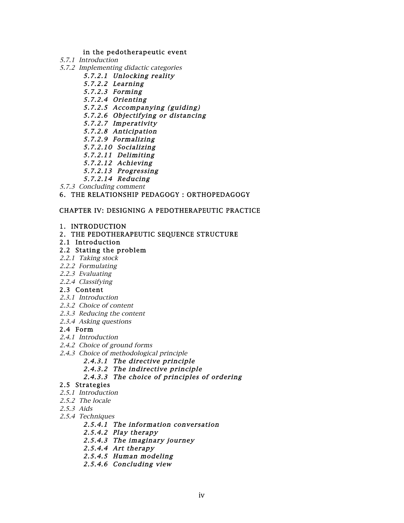#### in the pedotherapeutic event

- 5.7.1 Introduction
- 5.7.2 Implementing didactic categories
	- 5.7.2.1 Unlocking reality
	- 5.7.2.2 Learning
	- 5.7.2.3 Forming
	- 5.7.2.4 Orienting
	- 5.7.2.5 Accompanying (guiding)
	- 5.7.2.6 Objectifying or distancing
	- 5.7.2.7 Imperativity
	- 5.7.2.8 Anticipation
	- 5.7.2.9 Formalizing
	- 5.7.2.10 Socializing
	- 5.7.2.11 Delimiting
	- 5.7.2.12 Achieving
	- 5.7.2.13 Progressing
	- 5.7.2.14 Reducing
- 5.7.3 Concluding comment

6. THE RELATIONSHIP PEDAGOGY : ORTHOPEDAGOGY

### CHAPTER IV: DESIGNING A PEDOTHERAPEUTIC PRACTICE

#### 1. INTRODUCTION

2. THE PEDOTHERAPEUTIC SEQUENCE STRUCTURE

#### 2.1 Introduction

#### 2.2 Stating the problem

- 2.2.1 Taking stock
- 2.2.2 Formulating
- 2.2.3 Evaluating
- 2.2.4 Classifying

#### 2.3 Content

- 2.3.1 Introduction
- 2.3.2 Choice of content
- 2.3.3 Reducing the content
- 2.3.4 Asking questions

#### 2.4 Form

- 2.4.1 Introduction
- 2.4.2 Choice of ground forms
- 2.4.3 Choice of methodological principle
	- 2.4.3.1 The directive principle
	- 2.4.3.2 The indirective principle
	- 2.4.3.3 The choice of principles of ordering

# 2.5 Strategies

- 2.5.1 Introduction
- 2.5.2 The locale
- 2.5.3 Aids
- 2.5.4 Techniques
	- 2.5.4.1 The information conversation
	- 2.5.4.2 Play therapy
	- 2.5.4.3 The imaginary journey
	- 2.5.4.4 Art therapy
	- 2.5.4.5 Human modeling
	- 2.5.4.6 Concluding view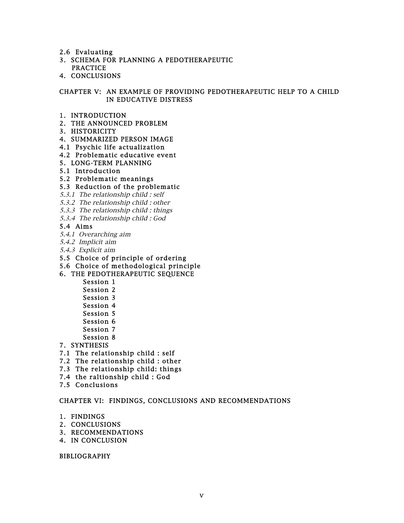- 2.6 Evaluating
- 3. SCHEMA FOR PLANNING A PEDOTHERAPEUTIC PRACTICE
- 4. CONCLUSIONS

# CHAPTER V: AN EXAMPLE OF PROVIDING PEDOTHERAPEUTIC HELP TO A CHILD IN EDUCATIVE DISTRESS

- 1. INTRODUCTION
- 2. THE ANNOUNCED PROBLEM
- 3. HISTORICITY
- 4. SUMMARIZED PERSON IMAGE
- 4.1 Psychic life actualization
- 4.2 Problematic educative event
- 5. LONG-TERM PLANNING
- 5.1 Introduction
- 5.2 Problematic meanings

#### 5.3 Reduction of the problematic

- 5.3.1 The relationship child : self
- 5.3.2 The relationship child : other
- 5.3.3 The relationship child : things
- 5.3.4 The relationship child : God

#### 5.4 Aims

- 5.4.1 Overarching aim
- 5.4.2 Implicit aim
- 5.4.3 Explicit aim
- 5.5 Choice of principle of ordering
- 5.6 Choice of methodological principle

#### 6. THE PEDOTHERAPEUTIC SEQUENCE

- Session 1
- Session 2
- Session 3
- Session 4
- Session 5
- Session 6
- Session 7
- Session 8
- 7. SYNTHESIS
- 7.1 The relationship child : self
- 7.2 The relationship child : other
- 7.3 The relationship child: things
- 7.4 the raltionship child : God
- 7.5 Conclusions

#### CHAPTER VI: FINDINGS, CONCLUSIONS AND RECOMMENDATIONS

- 1. FINDINGS
- 2. CONCLUSIONS
- 3. RECOMMENDATIONS
- 4. IN CONCLUSION

BIBLIOGRAPHY